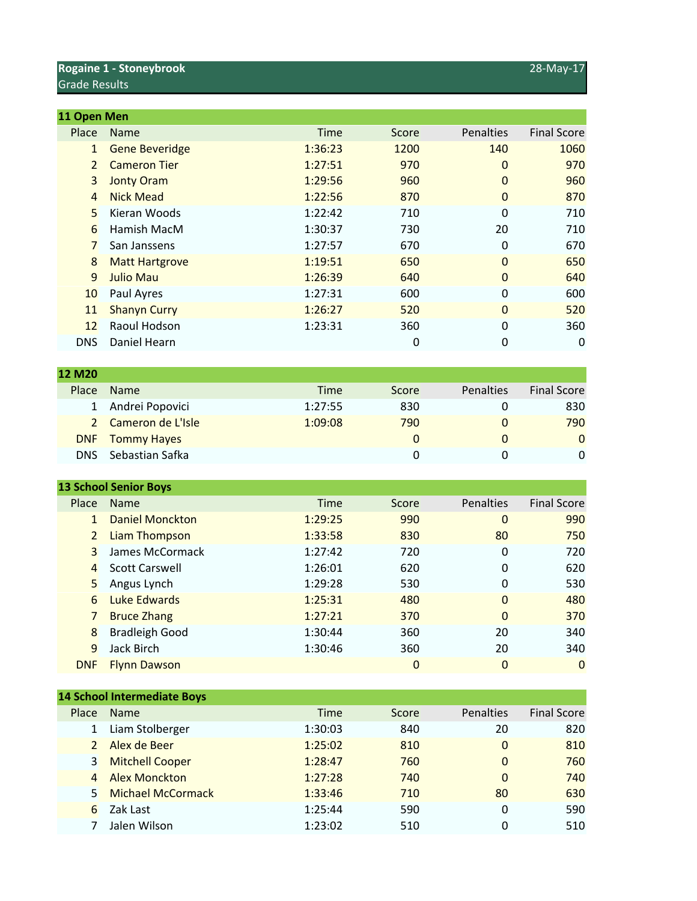## **Rogaine 1 - Stoneybrook** 28-May-17 Grade Results

**12 M20**

| 11 Open Men    |                       |             |       |                  |                    |
|----------------|-----------------------|-------------|-------|------------------|--------------------|
| Place          | <b>Name</b>           | <b>Time</b> | Score | <b>Penalties</b> | <b>Final Score</b> |
| $\mathbf{1}$   | <b>Gene Beveridge</b> | 1:36:23     | 1200  | 140              | 1060               |
| $\overline{2}$ | <b>Cameron Tier</b>   | 1:27:51     | 970   | $\mathbf{0}$     | 970                |
| 3              | <b>Jonty Oram</b>     | 1:29:56     | 960   | $\Omega$         | 960                |
| 4              | <b>Nick Mead</b>      | 1:22:56     | 870   | $\mathbf{0}$     | 870                |
| 5              | Kieran Woods          | 1:22:42     | 710   | 0                | 710                |
| 6              | Hamish MacM           | 1:30:37     | 730   | 20               | 710                |
| 7              | San Janssens          | 1:27:57     | 670   | 0                | 670                |
| 8              | <b>Matt Hartgrove</b> | 1:19:51     | 650   | $\Omega$         | 650                |
| 9              | Julio Mau             | 1:26:39     | 640   | $\mathbf{0}$     | 640                |
| 10             | Paul Ayres            | 1:27:31     | 600   | $\Omega$         | 600                |
| 11             | <b>Shanyn Curry</b>   | 1:26:27     | 520   | $\mathbf{0}$     | 520                |
| 12             | Raoul Hodson          | 1:23:31     | 360   | 0                | 360                |
| <b>DNS</b>     | Daniel Hearn          |             | 0     | 0                | 0                  |
|                |                       |             |       |                  |                    |

| <b>12 M20</b> |                     |             |       |           |                    |
|---------------|---------------------|-------------|-------|-----------|--------------------|
| Place         | <b>Name</b>         | <b>Time</b> | Score | Penalties | <b>Final Score</b> |
|               | 1 Andrei Popovici   | 1:27:55     | 830   |           | 830                |
|               | 2 Cameron de L'Isle | 1:09:08     | 790   |           | 790                |
| <b>DNF</b>    | <b>Tommy Hayes</b>  |             | 0     |           | $\mathbf{0}$       |
| DNS.          | Sebastian Safka     |             | O     |           | 0                  |

|                | <b>13 School Senior Boys</b> |             |                |                  |                    |
|----------------|------------------------------|-------------|----------------|------------------|--------------------|
| Place          | <b>Name</b>                  | <b>Time</b> | Score          | <b>Penalties</b> | <b>Final Score</b> |
|                | <b>Daniel Monckton</b>       | 1:29:25     | 990            | $\mathbf{0}$     | 990                |
| 2              | Liam Thompson                | 1:33:58     | 830            | 80               | 750                |
| 3              | James McCormack              | 1:27:42     | 720            | 0                | 720                |
| $\overline{4}$ | <b>Scott Carswell</b>        | 1:26:01     | 620            | 0                | 620                |
| 5              | Angus Lynch                  | 1:29:28     | 530            | 0                | 530                |
| 6              | Luke Edwards                 | 1:25:31     | 480            | $\Omega$         | 480                |
|                | <b>Bruce Zhang</b>           | 1:27:21     | 370            | $\mathbf{0}$     | 370                |
| 8              | <b>Bradleigh Good</b>        | 1:30:44     | 360            | 20               | 340                |
| 9              | Jack Birch                   | 1:30:46     | 360            | 20               | 340                |
| <b>DNF</b>     | <b>Flynn Dawson</b>          |             | $\overline{0}$ | 0                | $\mathbf 0$        |

|                | <b>14 School Intermediate Boys</b> |             |              |           |                    |
|----------------|------------------------------------|-------------|--------------|-----------|--------------------|
| Place          | <b>Name</b>                        | <b>Time</b> | <b>Score</b> | Penalties | <b>Final Score</b> |
|                | Liam Stolberger                    | 1:30:03     | 840          | 20        | 820                |
|                | Alex de Beer                       | 1:25:02     | 810          | $\Omega$  | 810                |
| 3              | <b>Mitchell Cooper</b>             | 1:28:47     | 760          | $\Omega$  | 760                |
| $\overline{a}$ | <b>Alex Monckton</b>               | 1:27:28     | 740          | $\Omega$  | 740                |
|                | <b>Michael McCormack</b>           | 1:33:46     | 710          | 80        | 630                |
| 6              | Zak Last                           | 1:25:44     | 590          | 0         | 590                |
|                | Jalen Wilson                       | 1:23:02     | 510          | 0         | 510                |
|                |                                    |             |              |           |                    |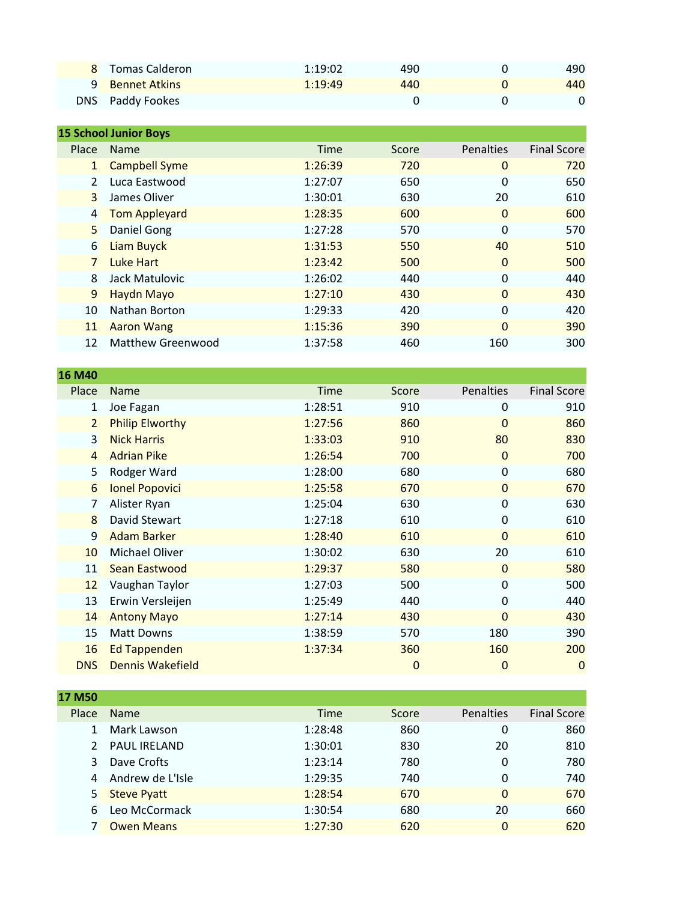| 8 Tomas Calderon       | 1:19:02 | 490 | 490 |
|------------------------|---------|-----|-----|
| <b>9</b> Bennet Atkins | 1:19:49 | 440 | 440 |
| DNS Paddy Fookes       |         |     |     |

|                | <b>15 School Junior Boys</b> |             |       |                  |                    |
|----------------|------------------------------|-------------|-------|------------------|--------------------|
| Place          | <b>Name</b>                  | <b>Time</b> | Score | <b>Penalties</b> | <b>Final Score</b> |
| $\mathbf{1}$   | <b>Campbell Syme</b>         | 1:26:39     | 720   | 0                | 720                |
| $\mathcal{P}$  | Luca Eastwood                | 1:27:07     | 650   | 0                | 650                |
| 3              | James Oliver                 | 1:30:01     | 630   | 20               | 610                |
| $\overline{4}$ | <b>Tom Appleyard</b>         | 1:28:35     | 600   | $\Omega$         | 600                |
| 5              | Daniel Gong                  | 1:27:28     | 570   | 0                | 570                |
| 6              | <b>Liam Buyck</b>            | 1:31:53     | 550   | 40               | 510                |
| $\overline{7}$ | Luke Hart                    | 1:23:42     | 500   | 0                | 500                |
| 8              | Jack Matulovic               | 1:26:02     | 440   | 0                | 440                |
| 9              | <b>Haydn Mayo</b>            | 1:27:10     | 430   | $\Omega$         | 430                |
| 10             | Nathan Borton                | 1:29:33     | 420   | $\Omega$         | 420                |
| 11             | <b>Aaron Wang</b>            | 1:15:36     | 390   | 0                | 390                |
| 12             | Matthew Greenwood            | 1:37:58     | 460   | 160              | 300                |
|                |                              |             |       |                  |                    |

**16 M40**

| <b>TO INITE</b> |                         |             |                |                  |                    |
|-----------------|-------------------------|-------------|----------------|------------------|--------------------|
| Place           | <b>Name</b>             | <b>Time</b> | Score          | <b>Penalties</b> | <b>Final Score</b> |
| 1               | Joe Fagan               | 1:28:51     | 910            | 0                | 910                |
| $\overline{2}$  | <b>Philip Elworthy</b>  | 1:27:56     | 860            | $\mathbf{0}$     | 860                |
| $\overline{3}$  | <b>Nick Harris</b>      | 1:33:03     | 910            | 80               | 830                |
| $\overline{4}$  | <b>Adrian Pike</b>      | 1:26:54     | 700            | $\mathbf 0$      | 700                |
| 5               | Rodger Ward             | 1:28:00     | 680            | 0                | 680                |
| 6               | <b>Ionel Popovici</b>   | 1:25:58     | 670            | $\mathbf{0}$     | 670                |
| 7               | Alister Ryan            | 1:25:04     | 630            | 0                | 630                |
| 8               | David Stewart           | 1:27:18     | 610            | 0                | 610                |
| 9               | <b>Adam Barker</b>      | 1:28:40     | 610            | $\mathbf{0}$     | 610                |
| 10              | Michael Oliver          | 1:30:02     | 630            | 20               | 610                |
| 11              | Sean Eastwood           | 1:29:37     | 580            | $\mathbf 0$      | 580                |
| 12              | Vaughan Taylor          | 1:27:03     | 500            | 0                | 500                |
| 13              | Erwin Versleijen        | 1:25:49     | 440            | 0                | 440                |
| 14              | <b>Antony Mayo</b>      | 1:27:14     | 430            | $\Omega$         | 430                |
| 15              | <b>Matt Downs</b>       | 1:38:59     | 570            | 180              | 390                |
| 16              | Ed Tappenden            | 1:37:34     | 360            | 160              | 200                |
| <b>DNS</b>      | <b>Dennis Wakefield</b> |             | $\overline{0}$ | $\mathbf{0}$     | $\mathbf 0$        |
|                 |                         |             |                |                  |                    |

| 17 M50 |                     |             |       |                  |                    |
|--------|---------------------|-------------|-------|------------------|--------------------|
| Place  | <b>Name</b>         | <b>Time</b> | Score | <b>Penalties</b> | <b>Final Score</b> |
|        | Mark Lawson         | 1:28:48     | 860   | 0                | 860                |
|        | <b>PAUL IRELAND</b> | 1:30:01     | 830   | 20               | 810                |
| 3      | Dave Crofts         | 1:23:14     | 780   | 0                | 780                |
|        | Andrew de L'Isle    | 1:29:35     | 740   | 0                | 740                |
| 5.     | <b>Steve Pyatt</b>  | 1:28:54     | 670   | 0                | 670                |
|        | Leo McCormack       | 1:30:54     | 680   | 20               | 660                |
|        | <b>Owen Means</b>   | 1:27:30     | 620   | 0                | 620                |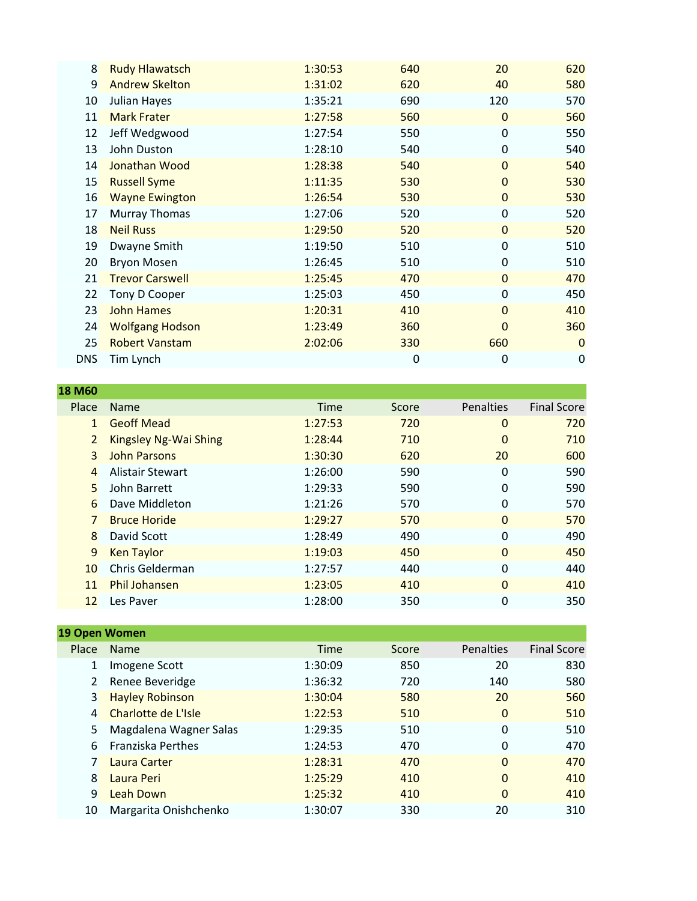| 8          | <b>Rudy Hlawatsch</b>  | 1:30:53 | 640 | 20             | 620         |
|------------|------------------------|---------|-----|----------------|-------------|
| 9          | <b>Andrew Skelton</b>  | 1:31:02 | 620 | 40             | 580         |
| 10         | Julian Hayes           | 1:35:21 | 690 | 120            | 570         |
| 11         | <b>Mark Frater</b>     | 1:27:58 | 560 | $\mathbf 0$    | 560         |
| 12         | Jeff Wedgwood          | 1:27:54 | 550 | 0              | 550         |
| 13         | John Duston            | 1:28:10 | 540 | 0              | 540         |
| 14         | Jonathan Wood          | 1:28:38 | 540 | $\overline{0}$ | 540         |
| 15         | <b>Russell Syme</b>    | 1:11:35 | 530 | $\overline{0}$ | 530         |
| 16         | <b>Wayne Ewington</b>  | 1:26:54 | 530 | $\mathbf{0}$   | 530         |
| 17         | Murray Thomas          | 1:27:06 | 520 | $\mathbf 0$    | 520         |
| 18         | <b>Neil Russ</b>       | 1:29:50 | 520 | $\overline{0}$ | 520         |
| 19         | Dwayne Smith           | 1:19:50 | 510 | 0              | 510         |
| 20         | <b>Bryon Mosen</b>     | 1:26:45 | 510 | 0              | 510         |
| 21         | <b>Trevor Carswell</b> | 1:25:45 | 470 | $\overline{0}$ | 470         |
| 22         | Tony D Cooper          | 1:25:03 | 450 | 0              | 450         |
| 23         | <b>John Hames</b>      | 1:20:31 | 410 | $\overline{0}$ | 410         |
| 24         | <b>Wolfgang Hodson</b> | 1:23:49 | 360 | $\Omega$       | 360         |
| 25         | <b>Robert Vanstam</b>  | 2:02:06 | 330 | 660            | $\Omega$    |
| <b>DNS</b> | Tim Lynch              |         | 0   | 0              | $\mathbf 0$ |
|            |                        |         |     |                |             |

| <b>18 M60</b>  |                         |             |       |                |                    |
|----------------|-------------------------|-------------|-------|----------------|--------------------|
| Place          | <b>Name</b>             | <b>Time</b> | Score | Penalties      | <b>Final Score</b> |
| $\mathbf{1}$   | <b>Geoff Mead</b>       | 1:27:53     | 720   | $\Omega$       | 720                |
| $\overline{2}$ | Kingsley Ng-Wai Shing   | 1:28:44     | 710   | 0              | 710                |
| $\mathbf{R}$   | John Parsons            | 1:30:30     | 620   | 20             | 600                |
| 4              | <b>Alistair Stewart</b> | 1:26:00     | 590   | $\Omega$       | 590                |
| 5              | John Barrett            | 1:29:33     | 590   | 0              | 590                |
| 6              | Dave Middleton          | 1:21:26     | 570   | 0              | 570                |
|                | <b>Bruce Horide</b>     | 1:29:27     | 570   | $\Omega$       | 570                |
| 8              | David Scott             | 1:28:49     | 490   | 0              | 490                |
| 9              | <b>Ken Taylor</b>       | 1:19:03     | 450   | $\Omega$       | 450                |
| 10             | Chris Gelderman         | 1:27:57     | 440   | 0              | 440                |
| 11             | <b>Phil Johansen</b>    | 1:23:05     | 410   | $\overline{0}$ | 410                |
| 12             | Les Paver               | 1:28:00     | 350   | 0              | 350                |

| 19 Open Women    |                          |             |       |                  |                    |
|------------------|--------------------------|-------------|-------|------------------|--------------------|
| Place            | <b>Name</b>              | <b>Time</b> | Score | <b>Penalties</b> | <b>Final Score</b> |
|                  | Imogene Scott            | 1:30:09     | 850   | 20               | 830                |
|                  | Renee Beveridge          | 1:36:32     | 720   | 140              | 580                |
| $\overline{3}$   | <b>Hayley Robinson</b>   | 1:30:04     | 580   | 20               | 560                |
| $\overline{4}$   | Charlotte de L'Isle      | 1:22:53     | 510   | 0                | 510                |
| 5.               | Magdalena Wagner Salas   | 1:29:35     | 510   | 0                | 510                |
| 6.               | <b>Franziska Perthes</b> | 1:24:53     | 470   | 0                | 470                |
|                  | Laura Carter             | 1:28:31     | 470   | 0                | 470                |
| $8 \overline{)}$ | Laura Peri               | 1:25:29     | 410   | 0                | 410                |
| 9                | Leah Down                | 1:25:32     | 410   | 0                | 410                |
| 10               | Margarita Onishchenko    | 1:30:07     | 330   | 20               | 310                |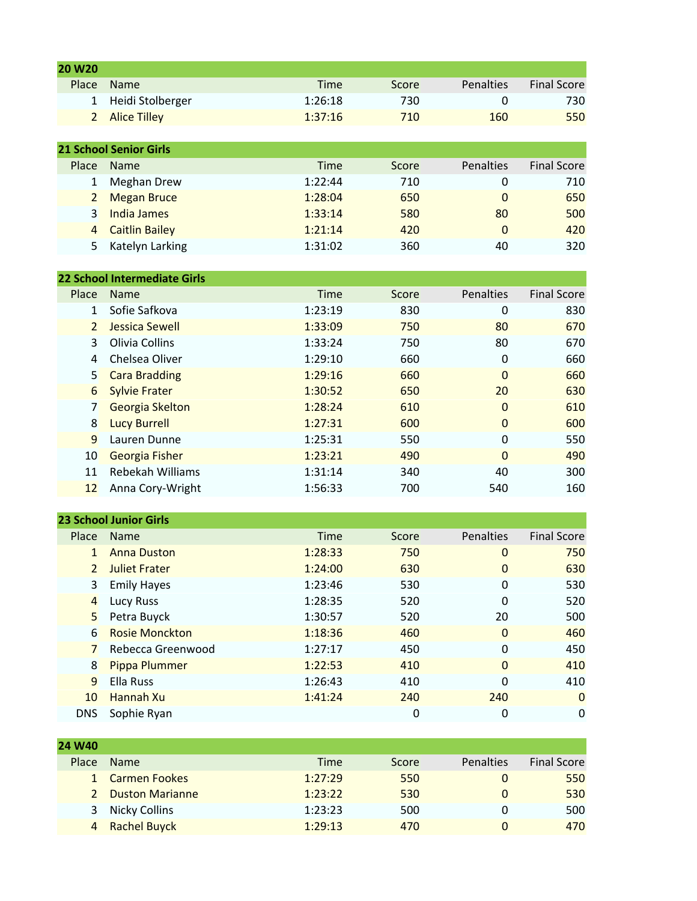| 20 W <sub>20</sub> |                               |             |       |                  |                    |  |  |  |
|--------------------|-------------------------------|-------------|-------|------------------|--------------------|--|--|--|
| Place              | <b>Name</b>                   | <b>Time</b> | Score | <b>Penalties</b> | <b>Final Score</b> |  |  |  |
| 1                  | Heidi Stolberger              | 1:26:18     | 730   | 0                | 730                |  |  |  |
| $\overline{2}$     | <b>Alice Tilley</b>           | 1:37:16     | 710   | 160              | 550                |  |  |  |
|                    |                               |             |       |                  |                    |  |  |  |
|                    | <b>21 School Senior Girls</b> |             |       |                  |                    |  |  |  |
| Place              | <b>Name</b>                   | <b>Time</b> | Score | Penalties        | <b>Final Score</b> |  |  |  |
| 1                  | <b>Meghan Drew</b>            | 1:22:44     | 710   | 0                | 710                |  |  |  |
| $\overline{2}$     | <b>Megan Bruce</b>            | 1:28:04     | 650   | $\Omega$         | 650                |  |  |  |
| $\overline{3}$     | India James                   | 1:33:14     | 580   | 80               | 500                |  |  |  |
| 4                  | <b>Caitlin Bailey</b>         | 1:21:14     | 420   | $\Omega$         | 420                |  |  |  |
| 5.                 | Katelyn Larking               | 1:31:02     | 360   | 40               | 320                |  |  |  |
|                    |                               |             |       |                  |                    |  |  |  |
|                    | 22 School Intermediate Girls  |             |       |                  |                    |  |  |  |

| Place         | <b>Name</b>           | <b>Time</b> | Score | <b>Penalties</b> | <b>Final Score</b> |
|---------------|-----------------------|-------------|-------|------------------|--------------------|
| 1             | Sofie Safkova         | 1:23:19     | 830   | 0                | 830                |
| $\mathcal{P}$ | Jessica Sewell        | 1:33:09     | 750   | 80               | 670                |
| 3             | Olivia Collins        | 1:33:24     | 750   | 80               | 670                |
| 4             | Chelsea Oliver        | 1:29:10     | 660   | 0                | 660                |
| $5^{\circ}$   | <b>Cara Bradding</b>  | 1:29:16     | 660   | $\Omega$         | 660                |
| 6             | <b>Sylvie Frater</b>  | 1:30:52     | 650   | 20               | 630                |
|               | Georgia Skelton       | 1:28:24     | 610   | $\Omega$         | 610                |
| 8             | <b>Lucy Burrell</b>   | 1:27:31     | 600   | $\Omega$         | 600                |
| 9             | Lauren Dunne          | 1:25:31     | 550   | 0                | 550                |
| 10            | <b>Georgia Fisher</b> | 1:23:21     | 490   | $\Omega$         | 490                |
| 11            | Rebekah Williams      | 1:31:14     | 340   | 40               | 300                |
| 12            | Anna Cory-Wright      | 1:56:33     | 700   | 540              | 160                |
|               |                       |             |       |                  |                    |

|                | <b>23 School Junior Girls</b> |             |       |                  |                    |
|----------------|-------------------------------|-------------|-------|------------------|--------------------|
| Place          | <b>Name</b>                   | <b>Time</b> | Score | <b>Penalties</b> | <b>Final Score</b> |
| 1              | <b>Anna Duston</b>            | 1:28:33     | 750   | 0                | 750                |
| $\overline{2}$ | <b>Juliet Frater</b>          | 1:24:00     | 630   | 0                | 630                |
| 3              | <b>Emily Hayes</b>            | 1:23:46     | 530   | 0                | 530                |
| $\overline{4}$ | Lucy Russ                     | 1:28:35     | 520   | 0                | 520                |
| 5              | Petra Buyck                   | 1:30:57     | 520   | 20               | 500                |
| 6              | <b>Rosie Monckton</b>         | 1:18:36     | 460   | $\Omega$         | 460                |
|                | Rebecca Greenwood             | 1:27:17     | 450   | 0                | 450                |
| 8              | Pippa Plummer                 | 1:22:53     | 410   | $\Omega$         | 410                |
| $\mathbf{q}$   | Ella Russ                     | 1:26:43     | 410   | 0                | 410                |
| 10             | Hannah Xu                     | 1:41:24     | 240   | 240              | $\Omega$           |
| <b>DNS</b>     | Sophie Ryan                   |             | 0     | 0                | 0                  |

| <b>Name</b>            | <b>Time</b> | <b>Score</b> | Penalties | <b>Final Score</b> |
|------------------------|-------------|--------------|-----------|--------------------|
| 1 Carmen Fookes        | 1:27:29     | 550          |           | 550                |
| <b>Duston Marianne</b> | 1:23:22     | 530          |           | 530                |
| Nicky Collins          | 1:23:23     | 500          |           | 500                |
| 4 Rachel Buyck         | 1:29:13     | 470          |           | 470                |
|                        |             |              |           |                    |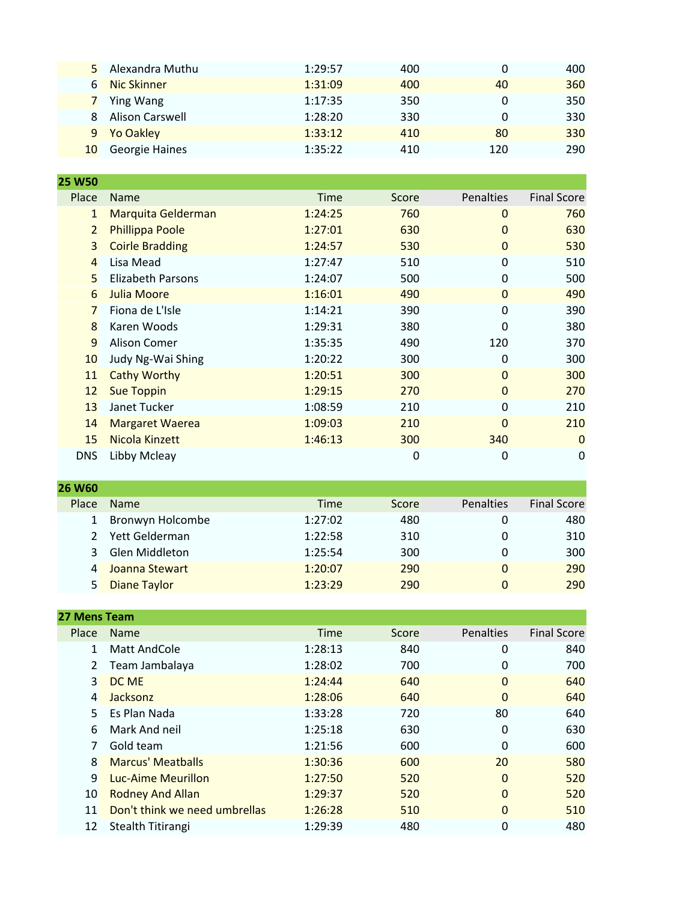|   | 5 Alexandra Muthu  | 1:29:57 | 400 |     | 400 |
|---|--------------------|---------|-----|-----|-----|
| 6 | <b>Nic Skinner</b> | 1:31:09 | 400 | 40  | 360 |
|   | 7 Ying Wang        | 1:17:35 | 350 |     | 350 |
| 8 | Alison Carswell    | 1:28:20 | 330 |     | 330 |
|   | 9 Yo Oakley        | 1:33:12 | 410 | 80  | 330 |
|   | 10 Georgie Haines  | 1:35:22 | 410 | 120 | 290 |

| 25 W50         |                          |         |       |                  |                    |
|----------------|--------------------------|---------|-------|------------------|--------------------|
| Place          | <b>Name</b>              | Time    | Score | <b>Penalties</b> | <b>Final Score</b> |
| $\mathbf{1}$   | Marquita Gelderman       | 1:24:25 | 760   | 0                | 760                |
| $\overline{2}$ | Phillippa Poole          | 1:27:01 | 630   | $\Omega$         | 630                |
| 3              | <b>Coirle Bradding</b>   | 1:24:57 | 530   | $\mathbf 0$      | 530                |
| $\overline{4}$ | Lisa Mead                | 1:27:47 | 510   | 0                | 510                |
| 5              | <b>Elizabeth Parsons</b> | 1:24:07 | 500   | 0                | 500                |
| 6              | <b>Julia Moore</b>       | 1:16:01 | 490   | $\mathbf 0$      | 490                |
| $\overline{7}$ | Fiona de L'Isle          | 1:14:21 | 390   | 0                | 390                |
| 8              | Karen Woods              | 1:29:31 | 380   | $\Omega$         | 380                |
| 9              | Alison Comer             | 1:35:35 | 490   | 120              | 370                |
| 10             | Judy Ng-Wai Shing        | 1:20:22 | 300   | 0                | 300                |
| 11             | <b>Cathy Worthy</b>      | 1:20:51 | 300   | $\Omega$         | 300                |
| 12             | <b>Sue Toppin</b>        | 1:29:15 | 270   | $\mathbf 0$      | 270                |
| 13             | Janet Tucker             | 1:08:59 | 210   | 0                | 210                |
| 14             | <b>Margaret Waerea</b>   | 1:09:03 | 210   | $\Omega$         | 210                |
| 15             | Nicola Kinzett           | 1:46:13 | 300   | 340              | $\mathbf 0$        |
| <b>DNS</b>     | Libby Mcleay             |         | 0     | 0                | 0                  |
|                |                          |         |       |                  |                    |

| <b>26 W60</b> |                     |         |              |           |                    |
|---------------|---------------------|---------|--------------|-----------|--------------------|
| Place         | <b>Name</b>         | Time    | <b>Score</b> | Penalties | <b>Final Score</b> |
|               | Bronwyn Holcombe    | 1:27:02 | 480          |           | 480                |
|               | Yett Gelderman      | 1:22:58 | 310          |           | 310                |
| 3             | Glen Middleton      | 1:25:54 | 300          | 0         | 300                |
|               | Joanna Stewart      | 1:20:07 | 290          | 0         | 290                |
| 5             | <b>Diane Taylor</b> | 1:23:29 | 290          | 0         | 290                |

| <b>27 Mens Team</b> |                               |             |       |           |                    |
|---------------------|-------------------------------|-------------|-------|-----------|--------------------|
| Place               | <b>Name</b>                   | <b>Time</b> | Score | Penalties | <b>Final Score</b> |
| 1                   | <b>Matt AndCole</b>           | 1:28:13     | 840   | 0         | 840                |
| 2                   | Team Jambalaya                | 1:28:02     | 700   | 0         | 700                |
| $\overline{3}$      | DC ME                         | 1:24:44     | 640   | 0         | 640                |
| $\overline{a}$      | Jacksonz                      | 1:28:06     | 640   | 0         | 640                |
| 5.                  | Es Plan Nada                  | 1:33:28     | 720   | 80        | 640                |
| 6                   | Mark And neil                 | 1:25:18     | 630   | 0         | 630                |
|                     | Gold team                     | 1:21:56     | 600   | 0         | 600                |
| $\mathbf{8}$        | <b>Marcus' Meatballs</b>      | 1:30:36     | 600   | 20        | 580                |
| 9                   | Luc-Aime Meurillon            | 1:27:50     | 520   | $\Omega$  | 520                |
| 10                  | <b>Rodney And Allan</b>       | 1:29:37     | 520   | 0         | 520                |
| 11                  | Don't think we need umbrellas | 1:26:28     | 510   | $\Omega$  | 510                |
| 12                  | Stealth Titirangi             | 1:29:39     | 480   | 0         | 480                |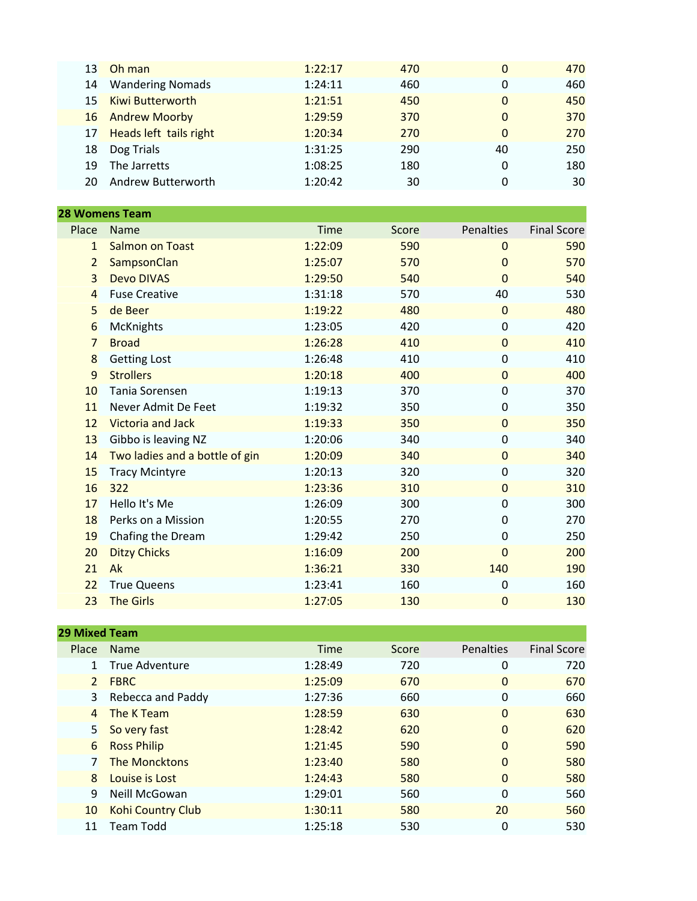| 13  | Oh man                    | 1:22:17 | 470 | $\mathbf{0}$ | 470 |
|-----|---------------------------|---------|-----|--------------|-----|
|     | 14 Wandering Nomads       | 1:24:11 | 460 | 0            | 460 |
|     | 15 Kiwi Butterworth       | 1:21:51 | 450 | 0            | 450 |
|     | 16 Andrew Moorby          | 1:29:59 | 370 | 0            | 370 |
|     | 17 Heads left tails right | 1:20:34 | 270 | $\mathbf{0}$ | 270 |
| 18  | Dog Trials                | 1:31:25 | 290 | 40           | 250 |
| 19  | The Jarretts              | 1:08:25 | 180 | 0            | 180 |
| 20. | <b>Andrew Butterworth</b> | 1:20:42 | 30  |              | 30  |
|     |                           |         |     |              |     |

| <b>28 Womens Team</b> |                                |         |       |                |                    |  |
|-----------------------|--------------------------------|---------|-------|----------------|--------------------|--|
| Place                 | Name                           | Time    | Score | Penalties      | <b>Final Score</b> |  |
| $\mathbf{1}$          | <b>Salmon on Toast</b>         | 1:22:09 | 590   | $\Omega$       | 590                |  |
| $\overline{2}$        | SampsonClan                    | 1:25:07 | 570   | $\overline{0}$ | 570                |  |
| 3                     | <b>Devo DIVAS</b>              | 1:29:50 | 540   | $\Omega$       | 540                |  |
| $\overline{4}$        | <b>Fuse Creative</b>           | 1:31:18 | 570   | 40             | 530                |  |
| 5                     | de Beer                        | 1:19:22 | 480   | $\mathbf{0}$   | 480                |  |
| 6                     | <b>McKnights</b>               | 1:23:05 | 420   | 0              | 420                |  |
| $\overline{7}$        | <b>Broad</b>                   | 1:26:28 | 410   | $\overline{0}$ | 410                |  |
| 8                     | <b>Getting Lost</b>            | 1:26:48 | 410   | 0              | 410                |  |
| 9                     | <b>Strollers</b>               | 1:20:18 | 400   | $\overline{0}$ | 400                |  |
| 10                    | Tania Sorensen                 | 1:19:13 | 370   | $\Omega$       | 370                |  |
| 11                    | Never Admit De Feet            | 1:19:32 | 350   | $\Omega$       | 350                |  |
| 12                    | <b>Victoria and Jack</b>       | 1:19:33 | 350   | $\overline{0}$ | 350                |  |
| 13                    | Gibbo is leaving NZ            | 1:20:06 | 340   | $\mathbf 0$    | 340                |  |
| 14                    | Two ladies and a bottle of gin | 1:20:09 | 340   | $\overline{0}$ | 340                |  |
| 15                    | <b>Tracy Mcintyre</b>          | 1:20:13 | 320   | $\mathbf 0$    | 320                |  |
| 16                    | 322                            | 1:23:36 | 310   | $\overline{0}$ | 310                |  |
| 17                    | Hello It's Me                  | 1:26:09 | 300   | 0              | 300                |  |
| 18                    | Perks on a Mission             | 1:20:55 | 270   | 0              | 270                |  |
| 19                    | Chafing the Dream              | 1:29:42 | 250   | 0              | 250                |  |
| 20                    | <b>Ditzy Chicks</b>            | 1:16:09 | 200   | $\mathbf{0}$   | 200                |  |
| 21                    | Ak                             | 1:36:21 | 330   | 140            | 190                |  |
| 22                    | <b>True Queens</b>             | 1:23:41 | 160   | 0              | 160                |  |
| 23                    | <b>The Girls</b>               | 1:27:05 | 130   | $\mathbf 0$    | 130                |  |

| <b>29 Mixed Team</b> |                          |             |       |                  |                    |
|----------------------|--------------------------|-------------|-------|------------------|--------------------|
| Place                | <b>Name</b>              | <b>Time</b> | Score | <b>Penalties</b> | <b>Final Score</b> |
| $\mathbf{1}$         | True Adventure           | 1:28:49     | 720   | 0                | 720                |
| $\overline{2}$       | <b>FBRC</b>              | 1:25:09     | 670   | $\Omega$         | 670                |
| 3                    | Rebecca and Paddy        | 1:27:36     | 660   | 0                | 660                |
| 4                    | The K Team               | 1:28:59     | 630   | 0                | 630                |
| 5 <sup>1</sup>       | So very fast             | 1:28:42     | 620   | $\Omega$         | 620                |
| 6                    | <b>Ross Philip</b>       | 1:21:45     | 590   | $\Omega$         | 590                |
| 7                    | <b>The Moncktons</b>     | 1:23:40     | 580   | $\Omega$         | 580                |
| 8                    | Louise is Lost           | 1:24:43     | 580   | $\Omega$         | 580                |
| 9                    | Neill McGowan            | 1:29:01     | 560   | 0                | 560                |
| 10                   | <b>Kohi Country Club</b> | 1:30:11     | 580   | 20               | 560                |
| 11                   | <b>Team Todd</b>         | 1:25:18     | 530   | 0                | 530                |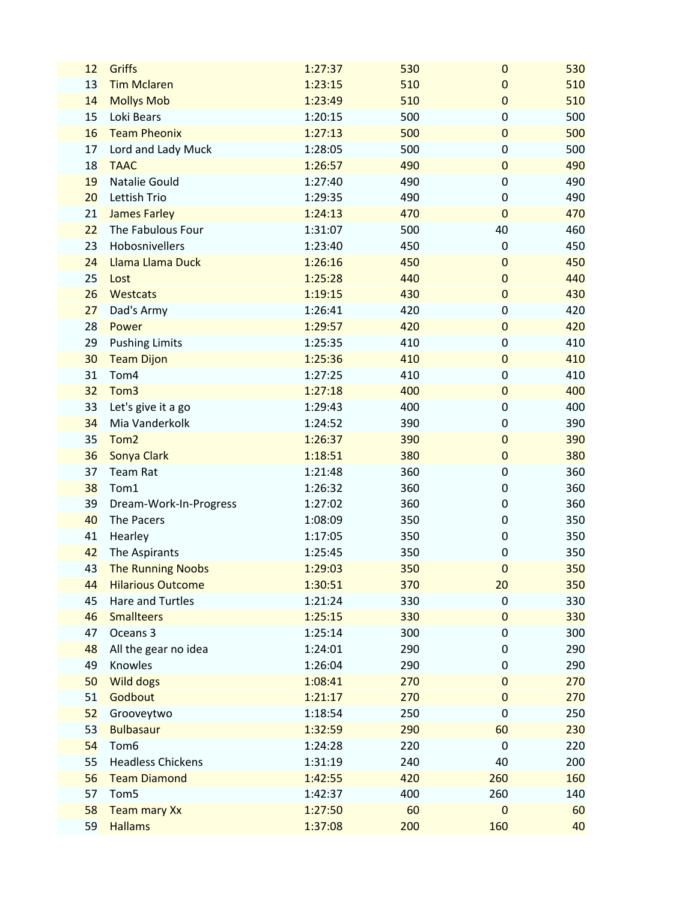| 12 | Griffs                   | 1:27:37 | 530 | $\mathbf 0$      | 530 |
|----|--------------------------|---------|-----|------------------|-----|
| 13 | <b>Tim Mclaren</b>       | 1:23:15 | 510 | $\mathbf{0}$     | 510 |
| 14 | <b>Mollys Mob</b>        | 1:23:49 | 510 | $\mathbf 0$      | 510 |
| 15 | Loki Bears               | 1:20:15 | 500 | 0                | 500 |
| 16 | <b>Team Pheonix</b>      | 1:27:13 | 500 | $\pmb{0}$        | 500 |
| 17 | Lord and Lady Muck       | 1:28:05 | 500 | 0                | 500 |
| 18 | <b>TAAC</b>              | 1:26:57 | 490 | $\boldsymbol{0}$ | 490 |
| 19 | Natalie Gould            | 1:27:40 | 490 | 0                | 490 |
| 20 | Lettish Trio             | 1:29:35 | 490 | 0                | 490 |
| 21 | <b>James Farley</b>      | 1:24:13 | 470 | $\overline{0}$   | 470 |
| 22 | The Fabulous Four        | 1:31:07 | 500 | 40               | 460 |
| 23 | Hobosnivellers           | 1:23:40 | 450 | 0                | 450 |
| 24 | Llama Llama Duck         | 1:26:16 | 450 | $\mathbf{0}$     | 450 |
| 25 | Lost                     | 1:25:28 | 440 | $\mathbf 0$      | 440 |
| 26 | Westcats                 | 1:19:15 | 430 | $\boldsymbol{0}$ | 430 |
| 27 | Dad's Army               | 1:26:41 | 420 | $\mathbf 0$      | 420 |
| 28 | Power                    | 1:29:57 | 420 | $\pmb{0}$        | 420 |
| 29 | <b>Pushing Limits</b>    | 1:25:35 | 410 | 0                | 410 |
| 30 | <b>Team Dijon</b>        | 1:25:36 | 410 | $\mathbf 0$      | 410 |
| 31 | Tom4                     | 1:27:25 | 410 | 0                | 410 |
| 32 | Tom <sub>3</sub>         | 1:27:18 | 400 | $\pmb{0}$        | 400 |
| 33 | Let's give it a go       | 1:29:43 | 400 | $\boldsymbol{0}$ | 400 |
| 34 | Mia Vanderkolk           | 1:24:52 | 390 | 0                | 390 |
| 35 | Tom <sub>2</sub>         | 1:26:37 | 390 | $\boldsymbol{0}$ | 390 |
| 36 | Sonya Clark              | 1:18:51 | 380 | $\pmb{0}$        | 380 |
| 37 | <b>Team Rat</b>          | 1:21:48 | 360 | 0                | 360 |
| 38 | Tom1                     | 1:26:32 | 360 | 0                | 360 |
| 39 | Dream-Work-In-Progress   | 1:27:02 | 360 | 0                | 360 |
| 40 | The Pacers               | 1:08:09 | 350 | 0                | 350 |
| 41 | Hearley                  | 1:17:05 | 350 | 0                | 350 |
| 42 | The Aspirants            | 1:25:45 | 350 | $\boldsymbol{0}$ | 350 |
| 43 | <b>The Running Noobs</b> | 1:29:03 | 350 | $\mathbf{0}$     | 350 |
| 44 | <b>Hilarious Outcome</b> | 1:30:51 | 370 | 20               | 350 |
| 45 | Hare and Turtles         | 1:21:24 | 330 | 0                | 330 |
| 46 | <b>Smallteers</b>        | 1:25:15 | 330 | $\mathbf{0}$     | 330 |
| 47 | Oceans 3                 | 1:25:14 | 300 | $\mathbf{0}$     | 300 |
| 48 | All the gear no idea     | 1:24:01 | 290 | 0                | 290 |
| 49 | Knowles                  | 1:26:04 | 290 | 0                | 290 |
| 50 | Wild dogs                | 1:08:41 | 270 | $\mathbf{0}$     | 270 |
| 51 | Godbout                  | 1:21:17 | 270 | $\mathbf{0}$     | 270 |
| 52 | Grooveytwo               | 1:18:54 | 250 | 0                | 250 |
| 53 | <b>Bulbasaur</b>         | 1:32:59 | 290 | 60               | 230 |
| 54 | Tom6                     | 1:24:28 | 220 | 0                | 220 |
| 55 | <b>Headless Chickens</b> | 1:31:19 | 240 | 40               | 200 |
| 56 | <b>Team Diamond</b>      | 1:42:55 | 420 | 260              | 160 |
| 57 | Tom <sub>5</sub>         | 1:42:37 | 400 | 260              | 140 |
| 58 | <b>Team mary Xx</b>      | 1:27:50 | 60  | $\boldsymbol{0}$ | 60  |
| 59 | <b>Hallams</b>           | 1:37:08 | 200 | 160              | 40  |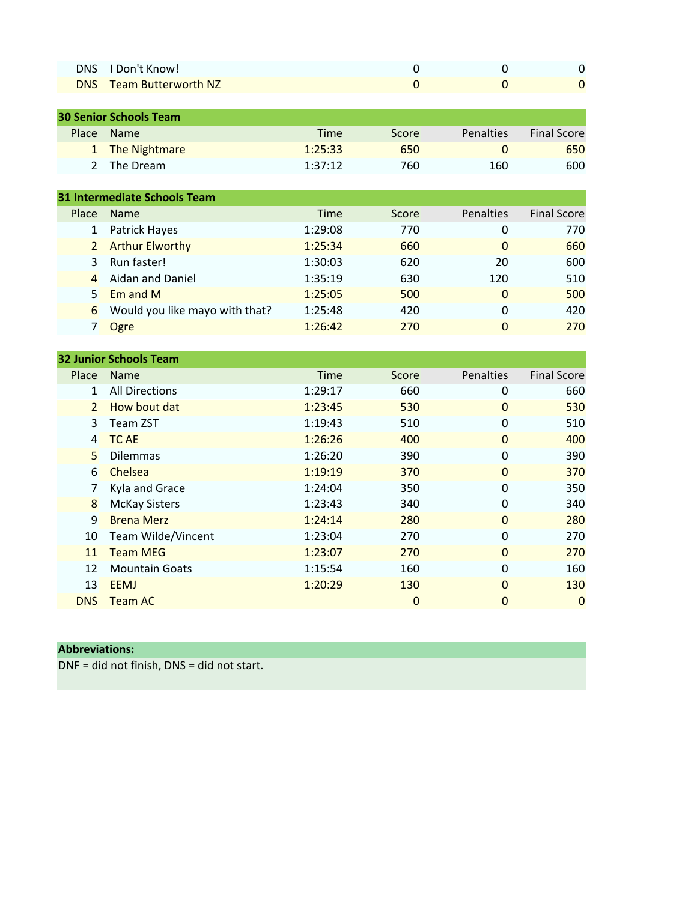| DNS I Don't Know!              |  |  |
|--------------------------------|--|--|
| <b>DNS</b> Team Butterworth NZ |  |  |

| <b>30 Senior Schools Team</b> |                 |         |       |           |                    |  |
|-------------------------------|-----------------|---------|-------|-----------|--------------------|--|
|                               | Place Name      | Time    | Score | Penalties | <b>Final Score</b> |  |
|                               | 1 The Nightmare | 1:25:33 | 650   |           | 650                |  |
|                               | 2 The Dream     | 1:37:12 | 760   | 160       | 600                |  |
|                               |                 |         |       |           |                    |  |

| 31 Intermediate Schools Team |                                |             |       |                  |                    |  |
|------------------------------|--------------------------------|-------------|-------|------------------|--------------------|--|
| Place                        | <b>Name</b>                    | <b>Time</b> | Score | <b>Penalties</b> | <b>Final Score</b> |  |
| 1                            | Patrick Hayes                  | 1:29:08     | 770   | 0                | 770                |  |
|                              | 2 Arthur Elworthy              | 1:25:34     | 660   | $\Omega$         | 660                |  |
| $\mathbf{R}$                 | Run faster!                    | 1:30:03     | 620   | 20               | 600                |  |
| $\overline{4}$               | Aidan and Daniel               | 1:35:19     | 630   | 120              | 510                |  |
| 5.                           | Em and M                       | 1:25:05     | 500   | 0                | 500                |  |
| 6                            | Would you like mayo with that? | 1:25:48     | 420   | 0                | 420                |  |
|                              | Ogre                           | 1:26:42     | 270   | 0                | 270                |  |
|                              |                                |             |       |                  |                    |  |

| <b>32 Junior Schools Team</b> |                       |             |                |              |                    |  |
|-------------------------------|-----------------------|-------------|----------------|--------------|--------------------|--|
| Place                         | <b>Name</b>           | <b>Time</b> | Score          | Penalties    | <b>Final Score</b> |  |
| 1                             | <b>All Directions</b> | 1:29:17     | 660            | $\Omega$     | 660                |  |
| $\overline{2}$                | How bout dat          | 1:23:45     | 530            | $\mathbf{0}$ | 530                |  |
| 3                             | Team ZST              | 1:19:43     | 510            | $\Omega$     | 510                |  |
| $\overline{4}$                | <b>TC AE</b>          | 1:26:26     | 400            | $\Omega$     | 400                |  |
| 5                             | <b>Dilemmas</b>       | 1:26:20     | 390            | $\Omega$     | 390                |  |
| 6                             | Chelsea               | 1:19:19     | 370            | $\Omega$     | 370                |  |
|                               | Kyla and Grace        | 1:24:04     | 350            | 0            | 350                |  |
| 8                             | <b>McKay Sisters</b>  | 1:23:43     | 340            | $\Omega$     | 340                |  |
| 9                             | <b>Brena Merz</b>     | 1:24:14     | 280            | $\Omega$     | 280                |  |
| 10                            | Team Wilde/Vincent    | 1:23:04     | 270            | $\Omega$     | 270                |  |
| 11                            | <b>Team MEG</b>       | 1:23:07     | 270            | $\Omega$     | 270                |  |
| 12                            | <b>Mountain Goats</b> | 1:15:54     | 160            | $\Omega$     | 160                |  |
| 13                            | <b>EEMJ</b>           | 1:20:29     | 130            | $\Omega$     | 130                |  |
| <b>DNS</b>                    | <b>Team AC</b>        |             | $\overline{0}$ | $\Omega$     | $\Omega$           |  |

## **Abbreviations:**

DNF = did not finish, DNS = did not start.